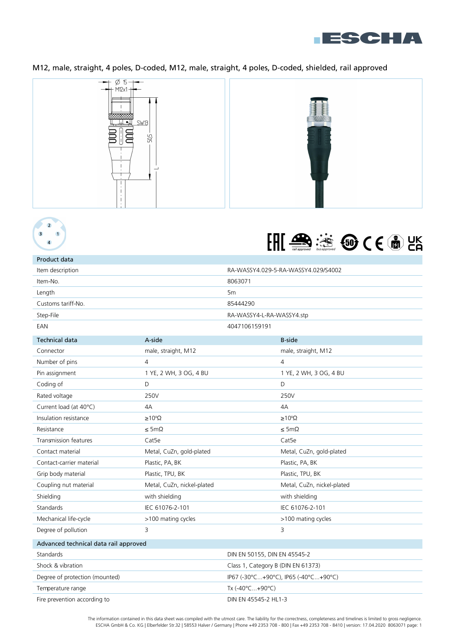

## M12, male, straight, 4 poles, D-coded, M12, male, straight, 4 poles, D-coded, shielded, rail approved







# Product data

| Item description      |                     | RA-WASSY4.029-5-RA-WASSY4.029/S4002 |  |
|-----------------------|---------------------|-------------------------------------|--|
| Item-No.              |                     | 8063071                             |  |
| Length                |                     | 5 <sub>m</sub>                      |  |
| Customs tariff-No.    |                     | 85444290                            |  |
| Step-File             |                     | RA-WASSY4-L-RA-WASSY4.stp           |  |
| EAN                   |                     | 4047106159191                       |  |
| <b>Technical data</b> | A-side              | <b>B-side</b>                       |  |
| Connector             | male, straight, M12 | male, straight, M12                 |  |

| Connector                             | male, straight, M12                  |  | male, straight, M12        |  |
|---------------------------------------|--------------------------------------|--|----------------------------|--|
| Number of pins                        | $\overline{4}$                       |  | $\overline{4}$             |  |
| Pin assignment                        | 1 YE, 2 WH, 3 OG, 4 BU               |  | 1 YE, 2 WH, 3 OG, 4 BU     |  |
| Coding of                             | D                                    |  | D                          |  |
| Rated voltage                         | 250V                                 |  | 250V                       |  |
| Current load (at 40°C)                | 4A                                   |  | 4A                         |  |
| Insulation resistance                 | $\geq 10^8 \Omega$                   |  | $\geq 10^8 \Omega$         |  |
| Resistance                            | $\leq$ 5m $\Omega$                   |  | $\leq$ 5m $\Omega$         |  |
| Transmission features                 | Cat <sub>5e</sub>                    |  | Cat <sub>5e</sub>          |  |
| Contact material                      | Metal, CuZn, gold-plated             |  | Metal, CuZn, gold-plated   |  |
| Contact-carrier material              | Plastic, PA, BK                      |  | Plastic, PA, BK            |  |
| Grip body material                    | Plastic, TPU, BK                     |  | Plastic, TPU, BK           |  |
| Coupling nut material                 | Metal, CuZn, nickel-plated           |  | Metal, CuZn, nickel-plated |  |
| Shielding                             | with shielding                       |  | with shielding             |  |
| Standards                             | IEC 61076-2-101                      |  | IEC 61076-2-101            |  |
| Mechanical life-cycle                 | >100 mating cycles                   |  | >100 mating cycles         |  |
| Degree of pollution                   | 3                                    |  | 3                          |  |
| Advanced technical data rail approved |                                      |  |                            |  |
| Standards                             | DIN EN 50155, DIN EN 45545-2         |  |                            |  |
| Shock & vibration                     | Class 1, Category B (DIN EN 61373)   |  |                            |  |
| Degree of protection (mounted)        | IP67 (-30°C+90°C), IP65 (-40°C+90°C) |  |                            |  |

Temperature range Fire prevention according to Tx (-40°C...+90°C) DIN EN 45545-2 HL1-3

> The information contained in this data sheet was compiled with the utmost care. The liability for the correctness, completeness and timelines is limited to gross negligence. ESCHA GmbH & Co. KG | Elberfelder Str.32 | 58553 Halver / Germany | Phone +49 2353 708 - 800 | Fax +49 2353 708 - 8410 | version: 17.04.2020 8063071 page: 1